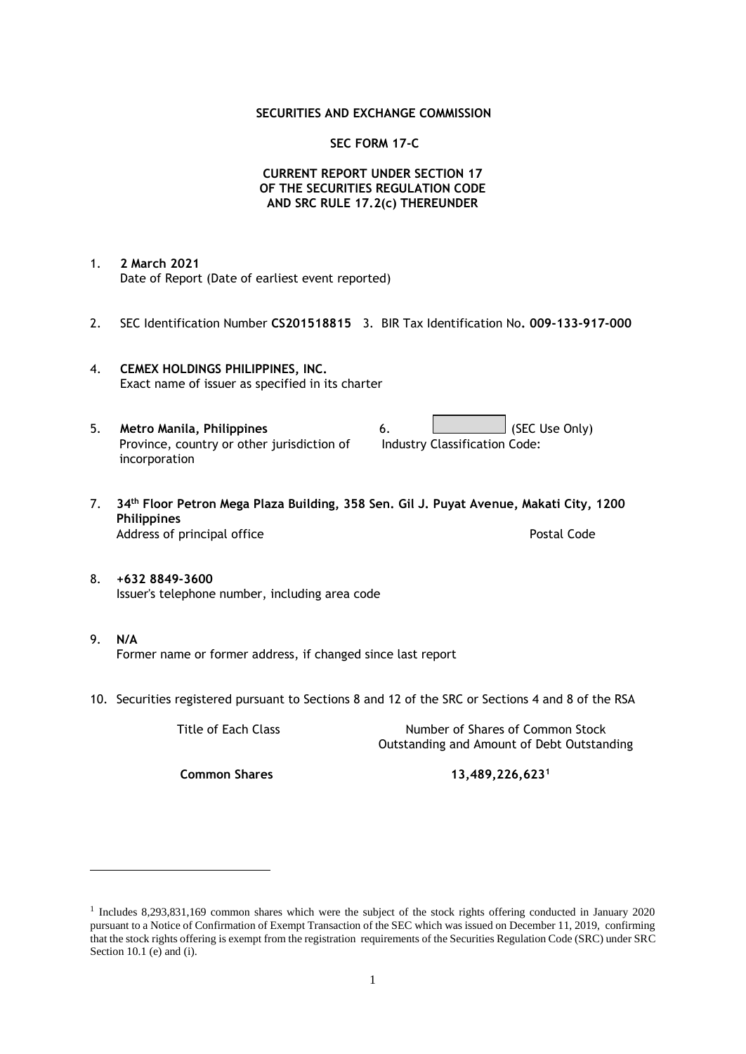### **SECURITIES AND EXCHANGE COMMISSION**

### **SEC FORM 17-C**

## **CURRENT REPORT UNDER SECTION 17 OF THE SECURITIES REGULATION CODE AND SRC RULE 17.2(c) THEREUNDER**

- 1. **2 March 2021** Date of Report (Date of earliest event reported)
- 2. SEC Identification Number **CS201518815** 3. BIR Tax Identification No**. 009-133-917-000**
- 4. **CEMEX HOLDINGS PHILIPPINES, INC.** Exact name of issuer as specified in its charter
- 5. **Metro Manila, Philippines** 6. **Consumers 6.** (SEC Use Only) Province, country or other jurisdiction of incorporation Industry Classification Code:
- 7. **34th Floor Petron Mega Plaza Building, 358 Sen. Gil J. Puyat Avenue, Makati City, 1200 Philippines** Address of principal office **Postal Code** Postal Code
- 8. **+632 8849-3600** Issuer's telephone number, including area code
- 9. **N/A** Former name or former address, if changed since last report
- 10. Securities registered pursuant to Sections 8 and 12 of the SRC or Sections 4 and 8 of the RSA

Title of Each Class Number of Shares of Common Stock Outstanding and Amount of Debt Outstanding

**Common Shares 13,489,226,623<sup>1</sup>**

<sup>1</sup> Includes 8,293,831,169 common shares which were the subject of the stock rights offering conducted in January 2020 pursuant to a Notice of Confirmation of Exempt Transaction of the SEC which was issued on December 11, 2019, confirming that the stock rights offering is exempt from the registration requirements of the Securities Regulation Code (SRC) under SRC Section 10.1 (e) and (i).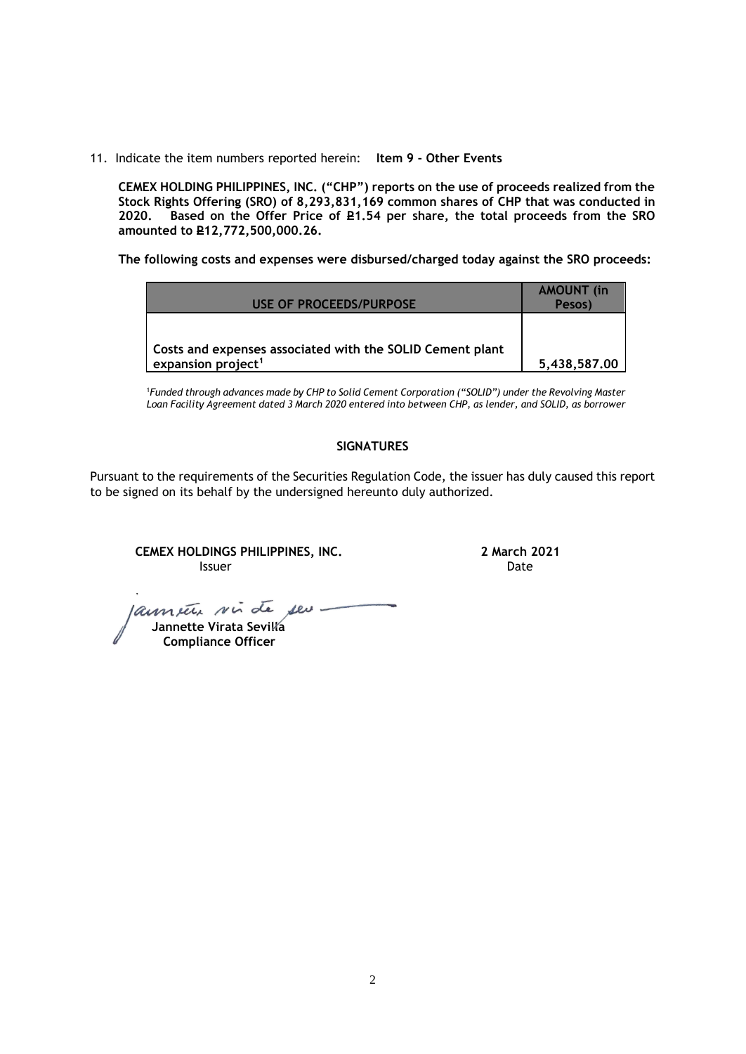11. Indicate the item numbers reported herein: **Item 9 - Other Events**

**CEMEX HOLDING PHILIPPINES, INC. ("CHP") reports on the use of proceeds realized from the Stock Rights Offering (SRO) of 8,293,831,169 common shares of CHP that was conducted in**  Based on the Offer Price of £1.54 per share, the total proceeds from the SRO **amounted to P12,772,500,000.26.** 

**The following costs and expenses were disbursed/charged today against the SRO proceeds:**

| USE OF PROCEEDS/PURPOSE                                                                     | <b>AMOUNT</b> (in<br>Pesos) |
|---------------------------------------------------------------------------------------------|-----------------------------|
| Costs and expenses associated with the SOLID Cement plant<br>expansion project <sup>1</sup> | 5,438,587.00                |

<sup>1</sup>*Funded through advances made by CHP to Solid Cement Corporation ("SOLID") under the Revolving Master Loan Facility Agreement dated 3 March 2020 entered into between CHP, as lender, and SOLID, as borrower*

## **SIGNATURES**

Pursuant to the requirements of the Securities Regulation Code, the issuer has duly caused this report to be signed on its behalf by the undersigned hereunto duly authorized.

**CEMEX HOLDINGS PHILIPPINES, INC. 2 March 2021 Issuer Community Community Community** Community Community Community Community Community Community Community Comm

launete sui de seu

 **Jannette Virata Sevilla Compliance Officer**